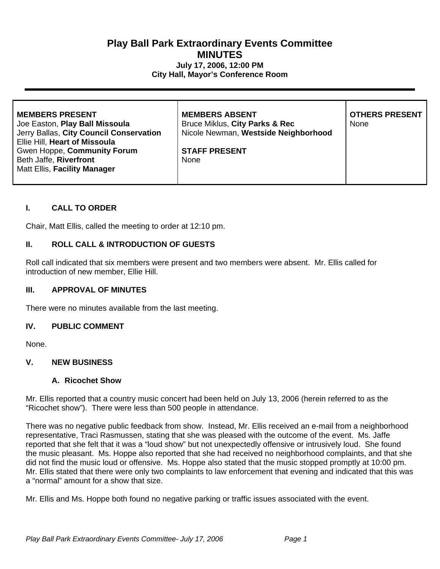# **Play Ball Park Extraordinary Events Committee MINUTES July 17, 2006, 12:00 PM City Hall, Mayor's Conference Room**

| <b>MEMBERS PRESENT</b>                  | <b>MEMBERS ABSENT</b>                | <b>OTHERS PRESENT</b> |
|-----------------------------------------|--------------------------------------|-----------------------|
| Joe Easton, Play Ball Missoula          | Bruce Miklus, City Parks & Rec       | None                  |
| Jerry Ballas, City Council Conservation | Nicole Newman, Westside Neighborhood |                       |
| Ellie Hill, Heart of Missoula           |                                      |                       |
| Gwen Hoppe, Community Forum             | <b>STAFF PRESENT</b>                 |                       |
| Beth Jaffe, Riverfront                  | None                                 |                       |
| <b>Matt Ellis, Facility Manager</b>     |                                      |                       |
|                                         |                                      |                       |
|                                         |                                      |                       |

### **I. CALL TO ORDER**

Chair, Matt Ellis, called the meeting to order at 12:10 pm.

### **II. ROLL CALL & INTRODUCTION OF GUESTS**

Roll call indicated that six members were present and two members were absent. Mr. Ellis called for introduction of new member, Ellie Hill.

#### **III. APPROVAL OF MINUTES**

There were no minutes available from the last meeting.

#### **IV. PUBLIC COMMENT**

None.

#### **V. NEW BUSINESS**

#### **A. Ricochet Show**

Mr. Ellis reported that a country music concert had been held on July 13, 2006 (herein referred to as the "Ricochet show"). There were less than 500 people in attendance.

There was no negative public feedback from show. Instead, Mr. Ellis received an e-mail from a neighborhood representative, Traci Rasmussen, stating that she was pleased with the outcome of the event. Ms. Jaffe reported that she felt that it was a "loud show" but not unexpectedly offensive or intrusively loud. She found the music pleasant. Ms. Hoppe also reported that she had received no neighborhood complaints, and that she did not find the music loud or offensive. Ms. Hoppe also stated that the music stopped promptly at 10:00 pm. Mr. Ellis stated that there were only two complaints to law enforcement that evening and indicated that this was a "normal" amount for a show that size.

Mr. Ellis and Ms. Hoppe both found no negative parking or traffic issues associated with the event.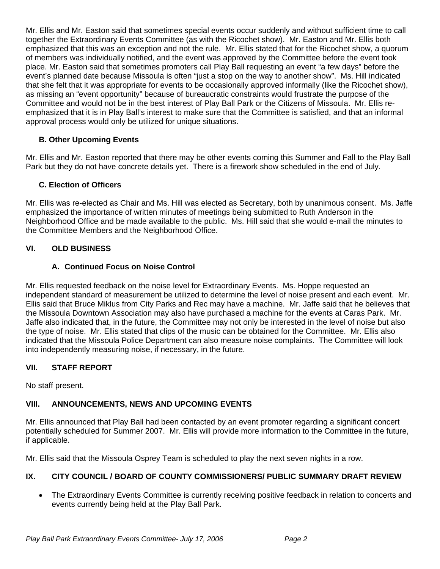Mr. Ellis and Mr. Easton said that sometimes special events occur suddenly and without sufficient time to call together the Extraordinary Events Committee (as with the Ricochet show). Mr. Easton and Mr. Ellis both emphasized that this was an exception and not the rule. Mr. Ellis stated that for the Ricochet show, a quorum of members was individually notified, and the event was approved by the Committee before the event took place. Mr. Easton said that sometimes promoters call Play Ball requesting an event "a few days" before the event's planned date because Missoula is often "just a stop on the way to another show". Ms. Hill indicated that she felt that it was appropriate for events to be occasionally approved informally (like the Ricochet show), as missing an "event opportunity" because of bureaucratic constraints would frustrate the purpose of the Committee and would not be in the best interest of Play Ball Park or the Citizens of Missoula. Mr. Ellis reemphasized that it is in Play Ball's interest to make sure that the Committee is satisfied, and that an informal approval process would only be utilized for unique situations.

# **B. Other Upcoming Events**

Mr. Ellis and Mr. Easton reported that there may be other events coming this Summer and Fall to the Play Ball Park but they do not have concrete details yet. There is a firework show scheduled in the end of July.

### **C. Election of Officers**

Mr. Ellis was re-elected as Chair and Ms. Hill was elected as Secretary, both by unanimous consent. Ms. Jaffe emphasized the importance of written minutes of meetings being submitted to Ruth Anderson in the Neighborhood Office and be made available to the public. Ms. Hill said that she would e-mail the minutes to the Committee Members and the Neighborhood Office.

### **VI. OLD BUSINESS**

### **A. Continued Focus on Noise Control**

Mr. Ellis requested feedback on the noise level for Extraordinary Events. Ms. Hoppe requested an independent standard of measurement be utilized to determine the level of noise present and each event. Mr. Ellis said that Bruce Miklus from City Parks and Rec may have a machine. Mr. Jaffe said that he believes that the Missoula Downtown Association may also have purchased a machine for the events at Caras Park. Mr. Jaffe also indicated that, in the future, the Committee may not only be interested in the level of noise but also the type of noise. Mr. Ellis stated that clips of the music can be obtained for the Committee. Mr. Ellis also indicated that the Missoula Police Department can also measure noise complaints. The Committee will look into independently measuring noise, if necessary, in the future.

## **VII. STAFF REPORT**

No staff present.

### **VIII. ANNOUNCEMENTS, NEWS AND UPCOMING EVENTS**

Mr. Ellis announced that Play Ball had been contacted by an event promoter regarding a significant concert potentially scheduled for Summer 2007. Mr. Ellis will provide more information to the Committee in the future, if applicable.

Mr. Ellis said that the Missoula Osprey Team is scheduled to play the next seven nights in a row.

### **IX. CITY COUNCIL / BOARD OF COUNTY COMMISSIONERS/ PUBLIC SUMMARY DRAFT REVIEW**

• The Extraordinary Events Committee is currently receiving positive feedback in relation to concerts and events currently being held at the Play Ball Park.